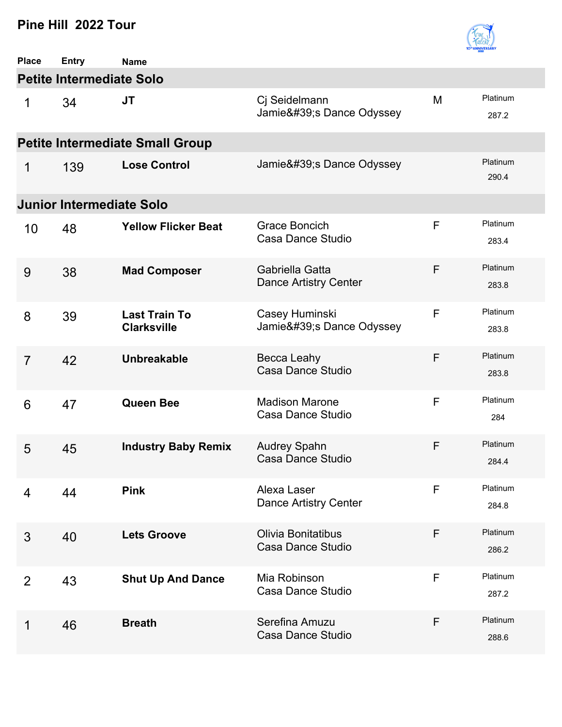

| <b>Place</b>   | <b>Entry</b>                           | <b>Name</b>                                |                                                |   |                   |  |  |  |
|----------------|----------------------------------------|--------------------------------------------|------------------------------------------------|---|-------------------|--|--|--|
|                | <b>Petite Intermediate Solo</b>        |                                            |                                                |   |                   |  |  |  |
| 1              | 34                                     | <b>JT</b>                                  | Cj Seidelmann<br>Jamie's Dance Odyssey         | M | Platinum<br>287.2 |  |  |  |
|                | <b>Petite Intermediate Small Group</b> |                                            |                                                |   |                   |  |  |  |
| 1              | 139                                    | <b>Lose Control</b>                        | Jamie' SDance Odyssey                          |   | Platinum<br>290.4 |  |  |  |
|                | <b>Junior Intermediate Solo</b>        |                                            |                                                |   |                   |  |  |  |
| 10             | 48                                     | <b>Yellow Flicker Beat</b>                 | Grace Boncich<br>Casa Dance Studio             | F | Platinum<br>283.4 |  |  |  |
| 9              | 38                                     | <b>Mad Composer</b>                        | Gabriella Gatta<br>Dance Artistry Center       | F | Platinum<br>283.8 |  |  |  |
| 8              | 39                                     | <b>Last Train To</b><br><b>Clarksville</b> | Casey Huminski<br>Jamie's Dance Odyssey        | F | Platinum<br>283.8 |  |  |  |
| $\overline{7}$ | 42                                     | <b>Unbreakable</b>                         | Becca Leahy<br>Casa Dance Studio               | F | Platinum<br>283.8 |  |  |  |
| 6              | 47                                     | <b>Queen Bee</b>                           | <b>Madison Marone</b><br>Casa Dance Studio     | F | Platinum<br>284   |  |  |  |
| 5              | 45                                     | <b>Industry Baby Remix</b>                 | <b>Audrey Spahn</b><br>Casa Dance Studio       | F | Platinum<br>284.4 |  |  |  |
| 4              | 44                                     | <b>Pink</b>                                | Alexa Laser<br>Dance Artistry Center           | F | Platinum<br>284.8 |  |  |  |
| 3              | 40                                     | <b>Lets Groove</b>                         | <b>Olivia Bonitatibus</b><br>Casa Dance Studio | F | Platinum<br>286.2 |  |  |  |
| $\overline{2}$ | 43                                     | <b>Shut Up And Dance</b>                   | Mia Robinson<br>Casa Dance Studio              | F | Platinum<br>287.2 |  |  |  |
| 1              | 46                                     | <b>Breath</b>                              | Serefina Amuzu<br>Casa Dance Studio            | F | Platinum<br>288.6 |  |  |  |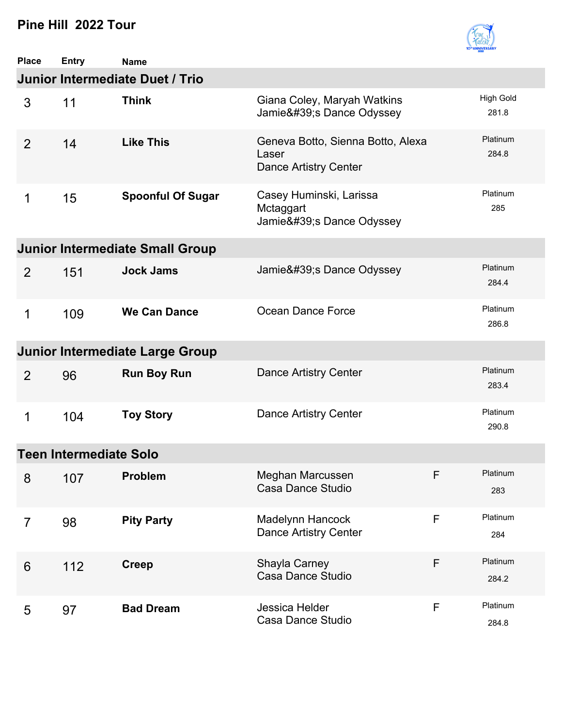

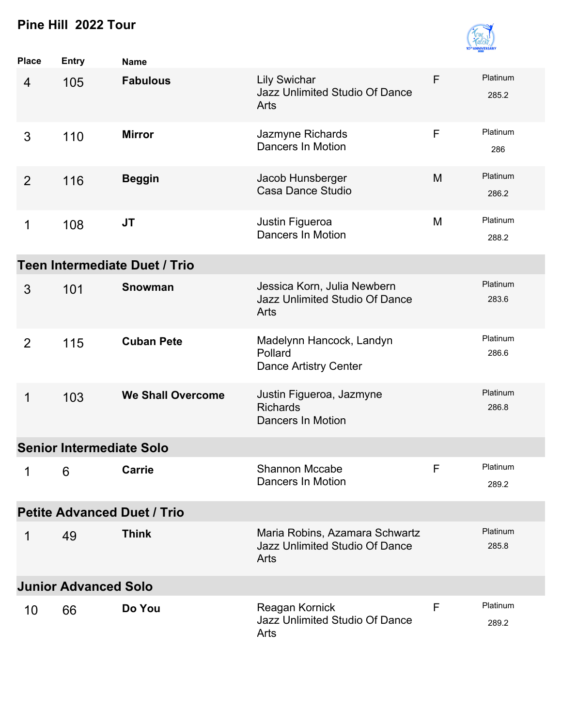

| <b>Place</b>   | <b>Entry</b>                    | <b>Name</b>                          |                                                                          |   |                   |
|----------------|---------------------------------|--------------------------------------|--------------------------------------------------------------------------|---|-------------------|
| 4              | 105                             | <b>Fabulous</b>                      | <b>Lily Swichar</b><br><b>Jazz Unlimited Studio Of Dance</b><br>Arts     | F | Platinum<br>285.2 |
| 3              | 110                             | <b>Mirror</b>                        | Jazmyne Richards<br><b>Dancers In Motion</b>                             | F | Platinum<br>286   |
| $\overline{2}$ | 116                             | <b>Beggin</b>                        | Jacob Hunsberger<br><b>Casa Dance Studio</b>                             | M | Platinum<br>286.2 |
| 1              | 108                             | <b>JT</b>                            | Justin Figueroa<br><b>Dancers In Motion</b>                              | M | Platinum<br>288.2 |
|                |                                 | <b>Teen Intermediate Duet / Trio</b> |                                                                          |   |                   |
| 3              | 101                             | <b>Snowman</b>                       | Jessica Korn, Julia Newbern<br>Jazz Unlimited Studio Of Dance<br>Arts    |   | Platinum<br>283.6 |
| $\overline{2}$ | 115                             | <b>Cuban Pete</b>                    | Madelynn Hancock, Landyn<br>Pollard<br><b>Dance Artistry Center</b>      |   | Platinum<br>286.6 |
| 1              | 103                             | <b>We Shall Overcome</b>             | Justin Figueroa, Jazmyne<br><b>Richards</b><br><b>Dancers In Motion</b>  |   | Platinum<br>286.8 |
|                | <b>Senior Intermediate Solo</b> |                                      |                                                                          |   |                   |
| 1              | 6                               | Carrie                               | Shannon Mccabe<br>Dancers In Motion                                      | F | Platinum<br>289.2 |
|                |                                 | <b>Petite Advanced Duet / Trio</b>   |                                                                          |   |                   |
| 1              | 49                              | <b>Think</b>                         | Maria Robins, Azamara Schwartz<br>Jazz Unlimited Studio Of Dance<br>Arts |   | Platinum<br>285.8 |
|                | <b>Junior Advanced Solo</b>     |                                      |                                                                          |   |                   |
| 10             | 66                              | Do You                               | Reagan Kornick<br>Jazz Unlimited Studio Of Dance<br>Arts                 | F | Platinum<br>289.2 |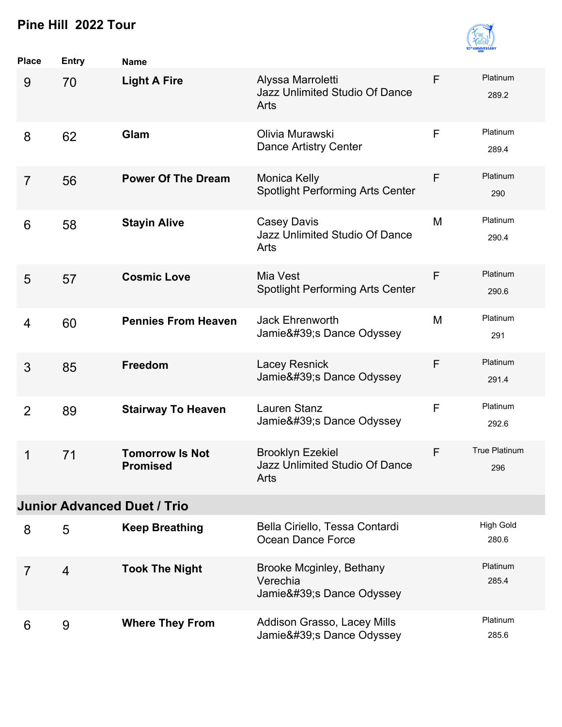

| <b>Place</b>   | <b>Entry</b>   | <b>Name</b>                               |                                                                   |   |                           |
|----------------|----------------|-------------------------------------------|-------------------------------------------------------------------|---|---------------------------|
| 9              | 70             | <b>Light A Fire</b>                       | Alyssa Marroletti<br>Jazz Unlimited Studio Of Dance<br>Arts       | F | Platinum<br>289.2         |
| 8              | 62             | Glam                                      | Olivia Murawski<br>Dance Artistry Center                          | F | Platinum<br>289.4         |
| $\overline{7}$ | 56             | <b>Power Of The Dream</b>                 | <b>Monica Kelly</b><br><b>Spotlight Performing Arts Center</b>    | F | Platinum<br>290           |
| 6              | 58             | <b>Stayin Alive</b>                       | Casey Davis<br><b>Jazz Unlimited Studio Of Dance</b><br>Arts      | M | Platinum<br>290.4         |
| 5              | 57             | <b>Cosmic Love</b>                        | Mia Vest<br><b>Spotlight Performing Arts Center</b>               | F | Platinum<br>290.6         |
| 4              | 60             | <b>Pennies From Heaven</b>                | <b>Jack Ehrenworth</b><br>Jamie' SDance Odyssey                   | M | Platinum<br>291           |
| 3              | 85             | <b>Freedom</b>                            | <b>Lacey Resnick</b><br>Jamie's Dance Odyssey                     | F | Platinum<br>291.4         |
| $\overline{2}$ | 89             | <b>Stairway To Heaven</b>                 | Lauren Stanz<br>Jamie's Dance Odyssey                             | F | Platinum<br>292.6         |
| 1              | 71             | <b>Tomorrow Is Not</b><br><b>Promised</b> | <b>Brooklyn Ezekiel</b><br>Jazz Unlimited Studio Of Dance<br>Arts | F | True Platinum<br>296      |
|                |                | <b>Junior Advanced Duet / Trio</b>        |                                                                   |   |                           |
| 8              | 5              | <b>Keep Breathing</b>                     | Bella Ciriello, Tessa Contardi<br>Ocean Dance Force               |   | <b>High Gold</b><br>280.6 |
| $\overline{7}$ | $\overline{4}$ | <b>Took The Night</b>                     | Brooke Mcginley, Bethany<br>Verechia<br>Jamie's Dance Odyssey     |   | Platinum<br>285.4         |
| 6              | 9              | <b>Where They From</b>                    | Addison Grasso, Lacey Mills<br>Jamie's Dance Odyssey              |   | Platinum<br>285.6         |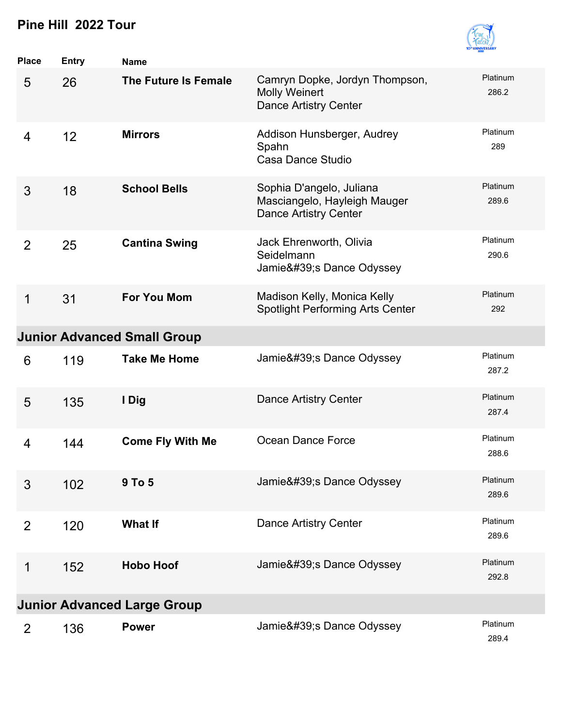

| <b>Place</b>   | <b>Entry</b> | <b>Name</b>                        |                                                                                          |                   |
|----------------|--------------|------------------------------------|------------------------------------------------------------------------------------------|-------------------|
| 5              | 26           | The Future Is Female               | Camryn Dopke, Jordyn Thompson,<br><b>Molly Weinert</b><br><b>Dance Artistry Center</b>   | Platinum<br>286.2 |
| 4              | 12           | <b>Mirrors</b>                     | Addison Hunsberger, Audrey<br>Spahn<br>Casa Dance Studio                                 | Platinum<br>289   |
| 3              | 18           | <b>School Bells</b>                | Sophia D'angelo, Juliana<br>Masciangelo, Hayleigh Mauger<br><b>Dance Artistry Center</b> | Platinum<br>289.6 |
| $\overline{2}$ | 25           | <b>Cantina Swing</b>               | Jack Ehrenworth, Olivia<br>Seidelmann<br>Jamie' SDance Odyssey                           | Platinum<br>290.6 |
| $\mathbf 1$    | 31           | <b>For You Mom</b>                 | Madison Kelly, Monica Kelly<br><b>Spotlight Performing Arts Center</b>                   | Platinum<br>292   |
|                |              | <b>Junior Advanced Small Group</b> |                                                                                          |                   |
| 6              | 119          | <b>Take Me Home</b>                | Jamie' SDance Odyssey                                                                    | Platinum<br>287.2 |
| 5              | 135          | I Dig                              | Dance Artistry Center                                                                    | Platinum<br>287.4 |
| 4              | 144          | <b>Come Fly With Me</b>            | Ocean Dance Force                                                                        | Platinum<br>288.6 |
| 3              | 102          | 9 To 5                             | Jamie' SDance Odyssey                                                                    | Platinum<br>289.6 |
| $\overline{2}$ | 120          | <b>What If</b>                     | <b>Dance Artistry Center</b>                                                             | Platinum<br>289.6 |
| 1              | 152          | <b>Hobo Hoof</b>                   | Jamie's Dance Odyssey                                                                    | Platinum<br>292.8 |
|                |              | <b>Junior Advanced Large Group</b> |                                                                                          |                   |
| 2              | 136          | <b>Power</b>                       | Jamie's Dance Odyssey                                                                    | Platinum<br>289.4 |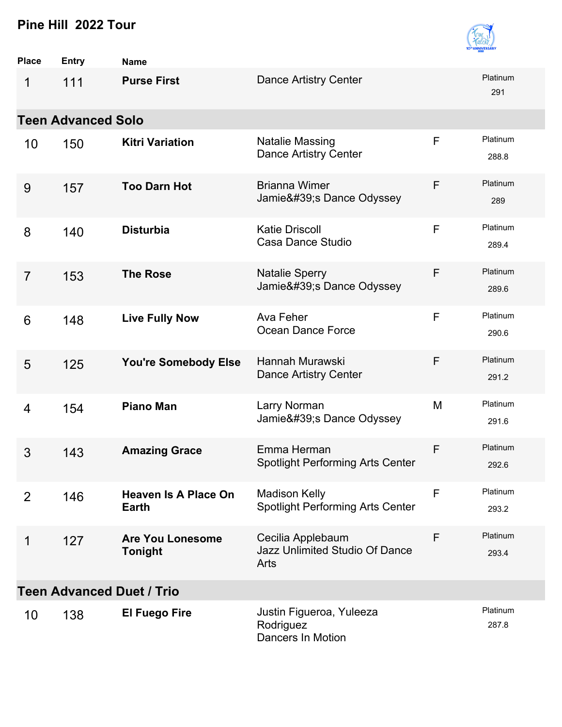| <b>10<sup>th</sup> ANNIVERSARY</b> |
|------------------------------------|

| <b>Place</b>   | <b>Entry</b>              | <b>Name</b>                                 |                                                                 |   |                   |  |  |  |
|----------------|---------------------------|---------------------------------------------|-----------------------------------------------------------------|---|-------------------|--|--|--|
| 1              | 111                       | <b>Purse First</b>                          | Dance Artistry Center                                           |   | Platinum<br>291   |  |  |  |
|                | <b>Teen Advanced Solo</b> |                                             |                                                                 |   |                   |  |  |  |
| 10             | 150                       | <b>Kitri Variation</b>                      | <b>Natalie Massing</b><br><b>Dance Artistry Center</b>          | F | Platinum<br>288.8 |  |  |  |
| 9              | 157                       | <b>Too Darn Hot</b>                         | <b>Brianna Wimer</b><br>Jamie's Dance Odyssey                   | F | Platinum<br>289   |  |  |  |
| 8              | 140                       | <b>Disturbia</b>                            | <b>Katie Driscoll</b><br>Casa Dance Studio                      | F | Platinum<br>289.4 |  |  |  |
| $\overline{7}$ | 153                       | <b>The Rose</b>                             | <b>Natalie Sperry</b><br>Jamie's Dance Odyssey                  | F | Platinum<br>289.6 |  |  |  |
| 6              | 148                       | <b>Live Fully Now</b>                       | Ava Feher<br>Ocean Dance Force                                  | F | Platinum<br>290.6 |  |  |  |
| 5              | 125                       | You're Somebody Else                        | Hannah Murawski<br><b>Dance Artistry Center</b>                 | F | Platinum<br>291.2 |  |  |  |
| 4              | 154                       | <b>Piano Man</b>                            | Larry Norman<br>Jamie's Dance Odyssey                           | M | Platinum<br>291.6 |  |  |  |
| 3              | 143                       | <b>Amazing Grace</b>                        | Emma Herman<br><b>Spotlight Performing Arts Center</b>          | F | Platinum<br>292.6 |  |  |  |
| 2              | 146                       | <b>Heaven Is A Place On</b><br><b>Earth</b> | <b>Madison Kelly</b><br><b>Spotlight Performing Arts Center</b> | F | Platinum<br>293.2 |  |  |  |
| 1              | 127                       | <b>Are You Lonesome</b><br><b>Tonight</b>   | Cecilia Applebaum<br>Jazz Unlimited Studio Of Dance<br>Arts     | F | Platinum<br>293.4 |  |  |  |
|                |                           | <b>Teen Advanced Duet / Trio</b>            |                                                                 |   |                   |  |  |  |
| 10             | 138                       | <b>El Fuego Fire</b>                        | Justin Figueroa, Yuleeza<br>Rodriguez<br>Dancers In Motion      |   | Platinum<br>287.8 |  |  |  |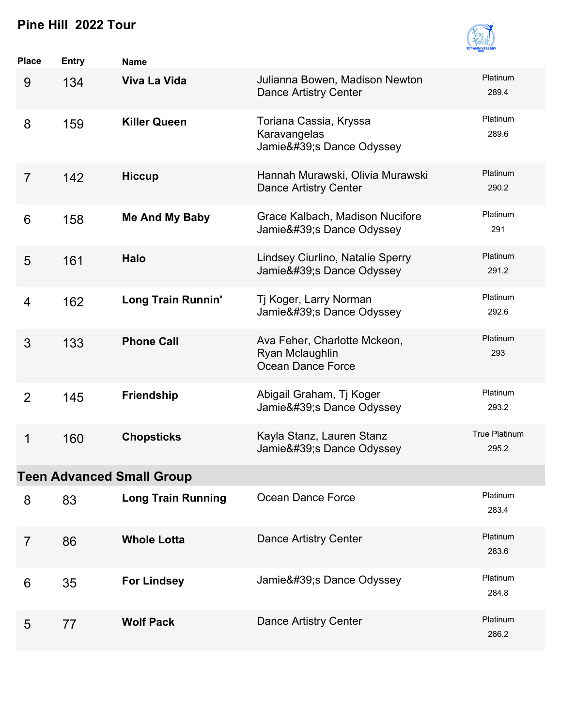| <b>INIVERS.</b> | bV |
|-----------------|----|

| Place          | <b>Entry</b> | <b>Name</b>                      |                                                                      |                               |
|----------------|--------------|----------------------------------|----------------------------------------------------------------------|-------------------------------|
| 9              | 134          | Viva La Vida                     | Julianna Bowen, Madison Newton<br><b>Dance Artistry Center</b>       | Platinum<br>289.4             |
| 8              | 159          | <b>Killer Queen</b>              | Toriana Cassia, Kryssa<br>Karavangelas<br>Jamie's Dance Odyssey      | Platinum<br>289.6             |
| $\overline{7}$ | 142          | <b>Hiccup</b>                    | Hannah Murawski, Olivia Murawski<br><b>Dance Artistry Center</b>     | Platinum<br>290.2             |
| 6              | 158          | <b>Me And My Baby</b>            | Grace Kalbach, Madison Nucifore<br>Jamie' SDance Odyssey             | Platinum<br>291               |
| 5              | 161          | <b>Halo</b>                      | Lindsey Ciurlino, Natalie Sperry<br>Jamie's Dance Odyssey            | Platinum<br>291.2             |
| $\overline{4}$ | 162          | <b>Long Train Runnin'</b>        | Tj Koger, Larry Norman<br>Jamie's Dance Odyssey                      | Platinum<br>292.6             |
| 3              | 133          | <b>Phone Call</b>                | Ava Feher, Charlotte Mckeon,<br>Ryan Mclaughlin<br>Ocean Dance Force | Platinum<br>293               |
| 2              | 145          | <b>Friendship</b>                | Abigail Graham, Tj Koger<br>Jamie's Dance Odyssey                    | Platinum<br>293.2             |
| 1              | 160          | <b>Chopsticks</b>                | Kayla Stanz, Lauren Stanz<br>Jamie's Dance Odyssey                   | <b>True Platinum</b><br>295.2 |
|                |              | <b>Teen Advanced Small Group</b> |                                                                      |                               |
| 8              | 83           | <b>Long Train Running</b>        | Ocean Dance Force                                                    | Platinum<br>283.4             |
| $\overline{7}$ | 86           | <b>Whole Lotta</b>               | Dance Artistry Center                                                | Platinum<br>283.6             |
| 6              | 35           | <b>For Lindsey</b>               | Jamie's Dance Odyssey                                                | Platinum<br>284.8             |
| 5              | 77           | <b>Wolf Pack</b>                 | <b>Dance Artistry Center</b>                                         | Platinum<br>286.2             |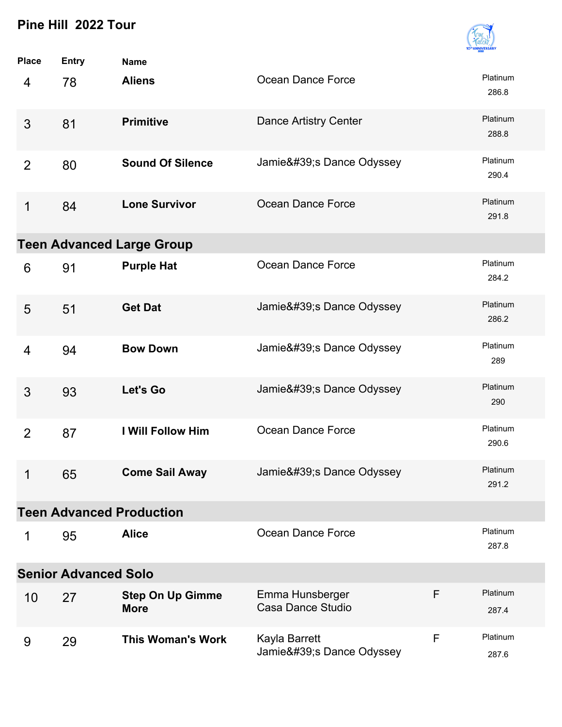

| <b>Place</b>   | <b>Entry</b>                | <b>Name</b>                            |                                        |             |                   |
|----------------|-----------------------------|----------------------------------------|----------------------------------------|-------------|-------------------|
| 4              | 78                          | <b>Aliens</b>                          | Ocean Dance Force                      |             | Platinum<br>286.8 |
| 3              | 81                          | <b>Primitive</b>                       | <b>Dance Artistry Center</b>           |             | Platinum<br>288.8 |
| $\overline{2}$ | 80                          | <b>Sound Of Silence</b>                | Jamie's Dance Odyssey                  |             | Platinum<br>290.4 |
| 1              | 84                          | <b>Lone Survivor</b>                   | Ocean Dance Force                      |             | Platinum<br>291.8 |
|                |                             | <b>Teen Advanced Large Group</b>       |                                        |             |                   |
| 6              | 91                          | <b>Purple Hat</b>                      | Ocean Dance Force                      |             | Platinum<br>284.2 |
| 5              | 51                          | <b>Get Dat</b>                         | Jamie' SDance Odyssey                  |             | Platinum<br>286.2 |
| $\overline{4}$ | 94                          | <b>Bow Down</b>                        | Jamie' SDance Odyssey                  |             | Platinum<br>289   |
| 3              | 93                          | Let's Go                               | Jamie's Dance Odyssey                  |             | Platinum<br>290   |
| $\overline{2}$ | 87                          | <b>I Will Follow Him</b>               | Ocean Dance Force                      |             | Platinum<br>290.6 |
| 1              | 65                          | <b>Come Sail Away</b>                  | Jamie's Dance Odyssey                  |             | Platinum<br>291.2 |
|                |                             | <b>Teen Advanced Production</b>        |                                        |             |                   |
| 1              | 95                          | <b>Alice</b>                           | Ocean Dance Force                      |             | Platinum<br>287.8 |
|                | <b>Senior Advanced Solo</b> |                                        |                                        |             |                   |
| 10             | 27                          | <b>Step On Up Gimme</b><br><b>More</b> | Emma Hunsberger<br>Casa Dance Studio   | F           | Platinum<br>287.4 |
| 9              | 29                          | <b>This Woman's Work</b>               | Kayla Barrett<br>Jamie's Dance Odyssey | $\mathsf F$ | Platinum<br>287.6 |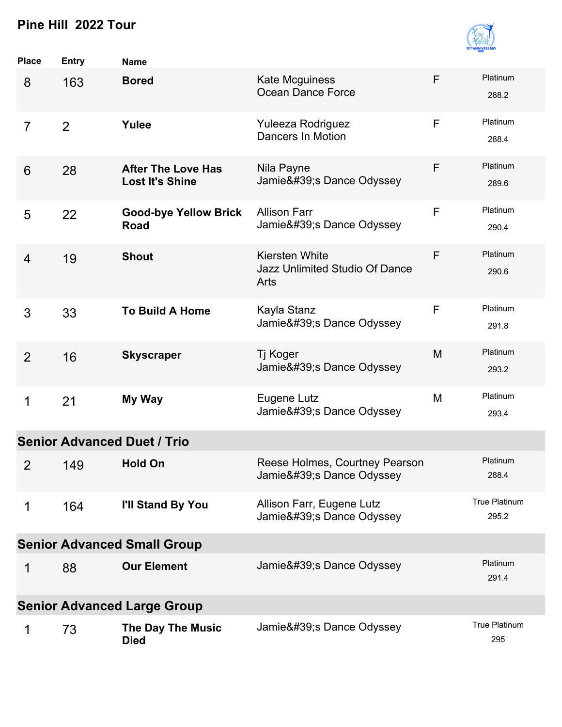

| Place          | <b>Entry</b>   | <b>Name</b>                                         |                                                                 |   |                               |
|----------------|----------------|-----------------------------------------------------|-----------------------------------------------------------------|---|-------------------------------|
| 8              | 163            | <b>Bored</b>                                        | <b>Kate Mcguiness</b><br>Ocean Dance Force                      | F | Platinum<br>288.2             |
| $\overline{7}$ | $\overline{2}$ | Yulee                                               | Yuleeza Rodriguez<br>Dancers In Motion                          | F | Platinum<br>288.4             |
| 6              | 28             | <b>After The Love Has</b><br><b>Lost It's Shine</b> | Nila Payne<br>Jamie's Dance Odyssey                             | F | Platinum<br>289.6             |
| 5              | 22             | <b>Good-bye Yellow Brick</b><br><b>Road</b>         | <b>Allison Farr</b><br>Jamie's Dance Odyssey                    | F | Platinum<br>290.4             |
| $\overline{4}$ | 19             | <b>Shout</b>                                        | <b>Kiersten White</b><br>Jazz Unlimited Studio Of Dance<br>Arts | F | Platinum<br>290.6             |
| 3              | 33             | <b>To Build A Home</b>                              | Kayla Stanz<br>Jamie's Dance Odyssey                            | F | Platinum<br>291.8             |
| $\overline{2}$ | 16             | <b>Skyscraper</b>                                   | Tj Koger<br>Jamie's Dance Odyssey                               | M | Platinum<br>293.2             |
| 1              | 21             | My Way                                              | Eugene Lutz<br>Jamie's Dance Odyssey                            | M | Platinum<br>293.4             |
|                |                | <b>Senior Advanced Duet / Trio</b>                  |                                                                 |   |                               |
| $\overline{2}$ | 149            | <b>Hold On</b>                                      | Reese Holmes, Courtney Pearson<br>Jamie's Dance Odyssey         |   | Platinum<br>288.4             |
| 1              | 164            | I'll Stand By You                                   | Allison Farr, Eugene Lutz<br>Jamie's Dance Odyssey              |   | <b>True Platinum</b><br>295.2 |
|                |                | <b>Senior Advanced Small Group</b>                  |                                                                 |   |                               |
| 1              | 88             | <b>Our Element</b>                                  | Jamie's Dance Odyssey                                           |   | Platinum<br>291.4             |
|                |                | <b>Senior Advanced Large Group</b>                  |                                                                 |   |                               |
| 1              | 73             | The Day The Music<br><b>Died</b>                    | Jamie' SDance Odyssey                                           |   | <b>True Platinum</b><br>295   |